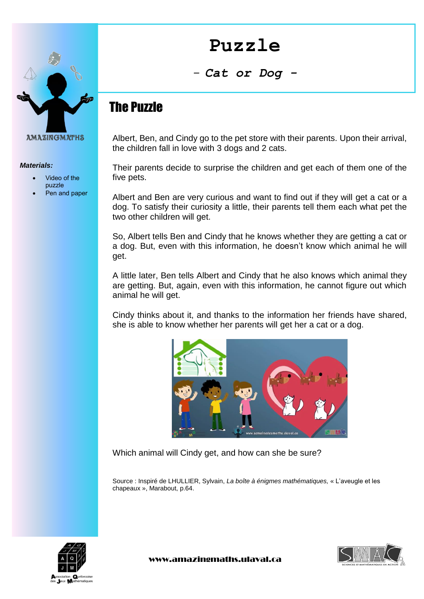



*Materials:*

- Video of the puzzle
- Pen and paper

*- Cat or Dog -*

## The Puzzle

Albert, Ben, and Cindy go to the pet store with their parents. Upon their arrival, the children fall in love with 3 dogs and 2 cats.

Their parents decide to surprise the children and get each of them one of the five pets.

Albert and Ben are very curious and want to find out if they will get a cat or a dog. To satisfy their curiosity a little, their parents tell them each what pet the two other children will get.

So, Albert tells Ben and Cindy that he knows whether they are getting a cat or a dog. But, even with this information, he doesn't know which animal he will get.

A little later, Ben tells Albert and Cindy that he also knows which animal they are getting. But, again, even with this information, he cannot figure out which animal he will get.

Cindy thinks about it, and thanks to the information her friends have shared, she is able to know whether her parents will get her a cat or a dog.



Which animal will Cindy get, and how can she be sure?

Source : Inspiré de LHULLIER, Sylvain, *La boîte à énigmes mathématiques,* « L'aveugle et les chapeaux », Marabout, p.64.





www.amazingmaths.ulaval.ca